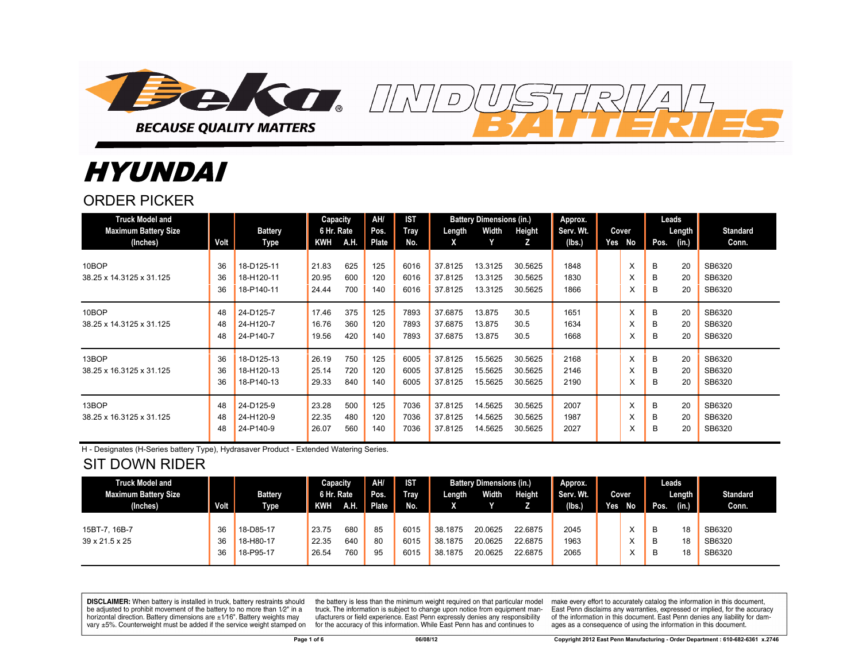

# HYUNDAI

#### ORDER PICKER

| <b>Truck Model and</b><br><b>Maximum Battery Size</b> |                | <b>Battery</b>                         | Capacity<br>6 Hr. Rate  |                   | AH/<br>Pos.       | <b>IST</b><br><b>Tray</b> | Length                        | <b>Battery Dimensions (in.)</b><br>Width | Height                        | Approx.<br>Serv. Wt. |     | Cover       | Leads       | Length         | <b>Standard</b>            |
|-------------------------------------------------------|----------------|----------------------------------------|-------------------------|-------------------|-------------------|---------------------------|-------------------------------|------------------------------------------|-------------------------------|----------------------|-----|-------------|-------------|----------------|----------------------------|
| (Inches)                                              | Volt           | Type                                   | <b>KWH</b>              | A.H.              | Plate             | No.                       | X                             |                                          | z                             | (lbs.)               | Yes | No          | Pos.        | (in.)          | Conn.                      |
| 10BOP<br>38.25 x 14.3125 x 31.125                     | 36<br>36<br>36 | 18-D125-11<br>18-H120-11<br>18-P140-11 | 21.83<br>20.95<br>24.44 | 625<br>600<br>700 | 125<br>120<br>140 | 6016<br>6016<br>6016      | 37.8125<br>37.8125<br>37.8125 | 13.3125<br>13.3125<br>13.3125            | 30.5625<br>30.5625<br>30.5625 | 1848<br>1830<br>1866 |     | X<br>X<br>X | В<br>в<br>B | 20<br>20<br>20 | SB6320<br>SB6320<br>SB6320 |
| 10BOP<br>38.25 x 14.3125 x 31.125                     | 48<br>48<br>48 | 24-D125-7<br>24-H120-7<br>24-P140-7    | 17.46<br>16.76<br>19.56 | 375<br>360<br>420 | 125<br>120<br>140 | 7893<br>7893<br>7893      | 37.6875<br>37.6875<br>37.6875 | 13.875<br>13.875<br>13.875               | 30.5<br>30.5<br>30.5          | 1651<br>1634<br>1668 |     | X<br>X<br>X | B<br>в<br>B | 20<br>20<br>20 | SB6320<br>SB6320<br>SB6320 |
| 13BOP<br>38.25 x 16.3125 x 31.125                     | 36<br>36<br>36 | 18-D125-13<br>18-H120-13<br>18-P140-13 | 26.19<br>25.14<br>29.33 | 750<br>720<br>840 | 125<br>120<br>140 | 6005<br>6005<br>6005      | 37.8125<br>37.8125<br>37.8125 | 15.5625<br>15.5625<br>15.5625            | 30.5625<br>30.5625<br>30.5625 | 2168<br>2146<br>2190 |     | X<br>X<br>X | B<br>B<br>B | 20<br>20<br>20 | SB6320<br>SB6320<br>SB6320 |
| 13BOP<br>38.25 x 16.3125 x 31.125                     | 48<br>48<br>48 | 24-D125-9<br>24-H120-9<br>24-P140-9    | 23.28<br>22.35<br>26.07 | 500<br>480<br>560 | 125<br>120<br>140 | 7036<br>7036<br>7036      | 37.8125<br>37.8125<br>37.8125 | 14.5625<br>14.5625<br>14.5625            | 30.5625<br>30.5625<br>30.5625 | 2007<br>1987<br>2027 |     | X<br>X<br>X | B<br>в<br>B | 20<br>20<br>20 | SB6320<br>SB6320<br>SB6320 |

 $\overline{D}$ 

H - Designates (H-Series battery Type), Hydrasaver Product - Extended Watering Series.

## SIT DOWN RIDER

| <b>Truck Model and</b><br><b>Maximum Battery Size</b> |             | <b>Battery</b> | Capacity<br>6 Hr. Rate |      | AH/<br>Pos. | <b>IST</b><br><b>Tray</b> | Length  | <b>Battery Dimensions (in.)</b><br>Width | <b>Height</b> | Approx.<br>Serv. Wt. |     | Cover |      | Leads<br>Length | <b>Standard</b> |
|-------------------------------------------------------|-------------|----------------|------------------------|------|-------------|---------------------------|---------|------------------------------------------|---------------|----------------------|-----|-------|------|-----------------|-----------------|
| (Inches)                                              | <b>Volt</b> | <b>Type</b>    | KWH                    | A.H. | Plate       | No.                       |         |                                          |               | (lbs)                | Yes | No    | Pos. | (in.)           | Conn.           |
|                                                       |             |                |                        |      |             |                           |         |                                          |               |                      |     |       |      |                 |                 |
| 15BT-7, 16B-7                                         | 36          | 18-D85-17      | 23.75                  | 680  | 85          | 6015                      | 38.1875 | 20.0625                                  | 22.6875       | 2045                 |     |       | B    | 18              | SB6320          |
| 39 x 21.5 x 25                                        | 36          | 18-H80-17      | 22.35                  | 640  | 80          | 6015                      | 38.1875 | 20.0625                                  | 22.6875       | 1963                 |     |       | B    | 18              | SB6320          |
|                                                       | 36          | 18-P95-17      | 26.54                  | 760  | 95          | 6015                      | 38.1875 | 20.0625                                  | 22.6875       | 2065                 |     |       | в    | 18              | SB6320          |

**DISCLAIMER:** When battery is installed in truck, battery restraints should be adjusted to prohibit movement of the battery to no more than 1/2" in a horizontal direction. Battery dimensions are  $\pm 1/16$ ". Battery weights may vary ±5%. Counterweight must be added if the service weight stamped on

the battery is less than the minimum weight required on that particular model truck. The information is subject to change upon notice from equipment manufacturers or field experience. East Penn expressly denies any responsibility for the accuracy of this information. While East Penn has and continues to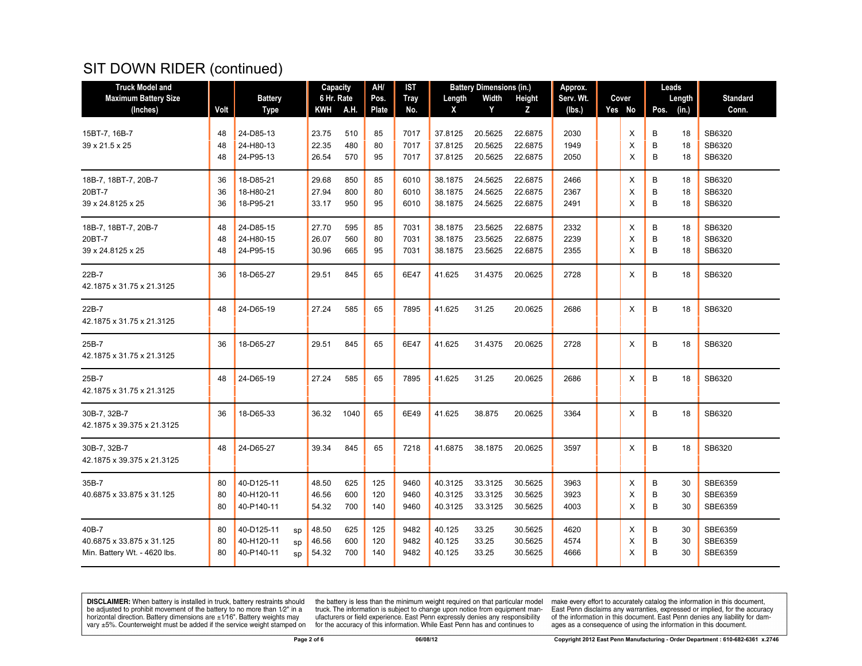## SIT DOWN RIDER (continued)

| <b>Truck Model and</b>                                             |                |                                                          | Capacity                |                   | AH/               | IST                  |                               | <b>Battery Dimensions (in.)</b> |                               | Approx.              |  |             | Leads       |                |                               |
|--------------------------------------------------------------------|----------------|----------------------------------------------------------|-------------------------|-------------------|-------------------|----------------------|-------------------------------|---------------------------------|-------------------------------|----------------------|--|-------------|-------------|----------------|-------------------------------|
| <b>Maximum Battery Size</b>                                        |                | <b>Battery</b>                                           | 6 Hr. Rate              |                   | Pos.              | <b>Tray</b>          | Length                        | Width                           | <b>Height</b>                 | Serv. Wt.            |  | Cover       |             | Length         | <b>Standard</b>               |
| (Inches)                                                           | Volt           | <b>Type</b>                                              | KWH                     | A.H.              | Plate             | No.                  | X                             | Y                               | Z                             | (Ibs.)               |  | Yes No      | Pos.        | (in.)          | Conn.                         |
| 15BT-7, 16B-7<br>39 x 21.5 x 25                                    | 48<br>48<br>48 | 24-D85-13<br>24-H80-13<br>24-P95-13                      | 23.75<br>22.35<br>26.54 | 510<br>480<br>570 | 85<br>80<br>95    | 7017<br>7017<br>7017 | 37.8125<br>37.8125<br>37.8125 | 20.5625<br>20.5625<br>20.5625   | 22.6875<br>22.6875<br>22.6875 | 2030<br>1949<br>2050 |  | X<br>X<br>X | B<br>B<br>B | 18<br>18<br>18 | SB6320<br>SB6320<br>SB6320    |
| 18B-7, 18BT-7, 20B-7<br>20BT-7<br>39 x 24.8125 x 25                | 36<br>36<br>36 | 18-D85-21<br>18-H80-21<br>18-P95-21                      | 29.68<br>27.94<br>33.17 | 850<br>800<br>950 | 85<br>80<br>95    | 6010<br>6010<br>6010 | 38.1875<br>38.1875<br>38.1875 | 24.5625<br>24.5625<br>24.5625   | 22.6875<br>22.6875<br>22.6875 | 2466<br>2367<br>2491 |  | х<br>X<br>X | B<br>B<br>B | 18<br>18<br>18 | SB6320<br>SB6320<br>SB6320    |
| 18B-7, 18BT-7, 20B-7<br>20BT-7<br>39 x 24.8125 x 25                | 48<br>48<br>48 | 24-D85-15<br>24-H80-15<br>24-P95-15                      | 27.70<br>26.07<br>30.96 | 595<br>560<br>665 | 85<br>80<br>95    | 7031<br>7031<br>7031 | 38.1875<br>38.1875<br>38.1875 | 23.5625<br>23.5625<br>23.5625   | 22.6875<br>22.6875<br>22.6875 | 2332<br>2239<br>2355 |  | X<br>X<br>X | B<br>B<br>B | 18<br>18<br>18 | SB6320<br>SB6320<br>SB6320    |
| 22B-7<br>42.1875 x 31.75 x 21.3125                                 | 36             | 18-D65-27                                                | 29.51                   | 845               | 65                | 6E47                 | 41.625                        | 31.4375                         | 20.0625                       | 2728                 |  | X           | B           | 18             | SB6320                        |
| 22B-7<br>42.1875 x 31.75 x 21.3125                                 | 48             | 24-D65-19                                                | 27.24                   | 585               | 65                | 7895                 | 41.625                        | 31.25                           | 20.0625                       | 2686                 |  | Х           | B           | 18             | SB6320                        |
| 25B-7<br>42.1875 x 31.75 x 21.3125                                 | 36             | 18-D65-27                                                | 29.51                   | 845               | 65                | 6E47                 | 41.625                        | 31.4375                         | 20.0625                       | 2728                 |  | X           | B           | 18             | SB6320                        |
| 25B-7<br>42.1875 x 31.75 x 21.3125                                 | 48             | 24-D65-19                                                | 27.24                   | 585               | 65                | 7895                 | 41.625                        | 31.25                           | 20.0625                       | 2686                 |  | X           | B           | 18             | SB6320                        |
| 30B-7, 32B-7<br>42.1875 x 39.375 x 21.3125                         | 36             | 18-D65-33                                                | 36.32                   | 1040              | 65                | 6E49                 | 41.625                        | 38.875                          | 20.0625                       | 3364                 |  | Х           | B           | 18             | SB6320                        |
| 30B-7, 32B-7<br>42.1875 x 39.375 x 21.3125                         | 48             | 24-D65-27                                                | 39.34                   | 845               | 65                | 7218                 | 41.6875                       | 38.1875                         | 20.0625                       | 3597                 |  | X           | B           | 18             | SB6320                        |
| 35B-7<br>40.6875 x 33.875 x 31.125                                 | 80<br>80<br>80 | 40-D125-11<br>40-H120-11<br>40-P140-11                   | 48.50<br>46.56<br>54.32 | 625<br>600<br>700 | 125<br>120<br>140 | 9460<br>9460<br>9460 | 40.3125<br>40.3125<br>40.3125 | 33.3125<br>33.3125<br>33.3125   | 30.5625<br>30.5625<br>30.5625 | 3963<br>3923<br>4003 |  | X<br>X<br>X | B<br>B<br>B | 30<br>30<br>30 | SBE6359<br>SBE6359<br>SBE6359 |
| 40B-7<br>40.6875 x 33.875 x 31.125<br>Min. Battery Wt. - 4620 lbs. | 80<br>80<br>80 | 40-D125-11<br>sp<br>40-H120-11<br>sp<br>40-P140-11<br>sp | 48.50<br>46.56<br>54.32 | 625<br>600<br>700 | 125<br>120<br>140 | 9482<br>9482<br>9482 | 40.125<br>40.125<br>40.125    | 33.25<br>33.25<br>33.25         | 30.5625<br>30.5625<br>30.5625 | 4620<br>4574<br>4666 |  | Х<br>X<br>X | B<br>В<br>B | 30<br>30<br>30 | SBE6359<br>SBE6359<br>SBE6359 |

**DISCLAIMER:** When battery is installed in truck, battery restraints should be adjusted to prohibit movement of the battery to no more than  $1/2$ " in a horizontal direction. Battery dimensions are  $\pm 1/16$ ". Battery weig

the battery is less than the minimum weight required on that particular model<br>truck. The information is subject to change upon notice from equipment man-<br>ufacturers or field experience. East Penn expressly denies any respo for the accuracy of this information. While East Penn has and continues to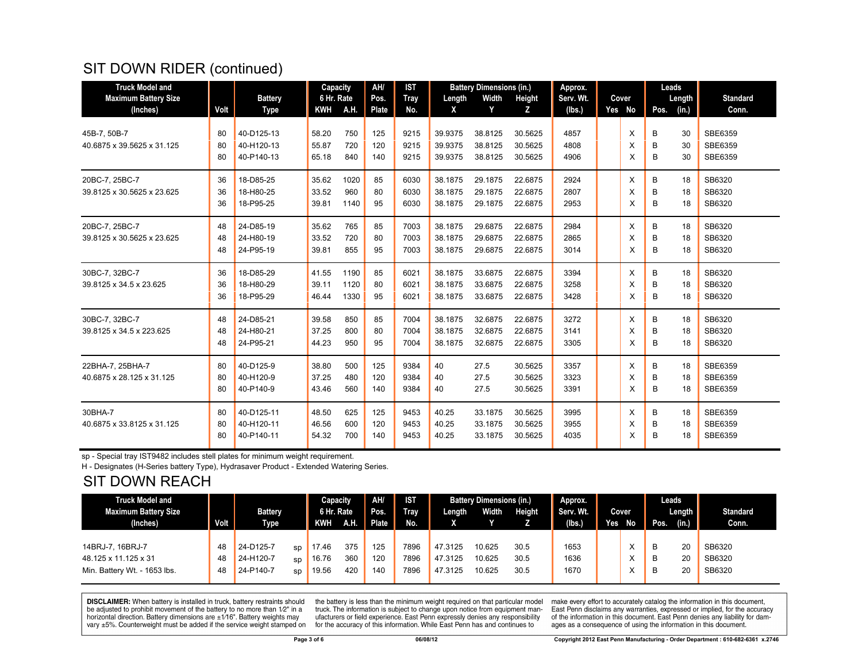## SIT DOWN RIDER (continued)

| <b>Truck Model and</b>      |      |                | AH/<br><b>IST</b><br><b>Battery Dimensions (in.)</b><br>Capacity |      | Approx. |      |         | Leads   |         |           |  |        |      |        |                 |
|-----------------------------|------|----------------|------------------------------------------------------------------|------|---------|------|---------|---------|---------|-----------|--|--------|------|--------|-----------------|
| <b>Maximum Battery Size</b> |      | <b>Battery</b> | 6 Hr. Rate                                                       |      | Pos.    | Tray | Length  | Width   | Height  | Serv. Wt. |  | Cover  |      | Length | <b>Standard</b> |
| (Inches)                    | Volt | <b>Type</b>    | <b>KWH</b>                                                       | A.H. | Plate   | No.  | X       | Y       | Z       | (lbs.)    |  | Yes No | Pos. | (in.)  | Conn.           |
| 45B-7, 50B-7                | 80   | 40-D125-13     | 58.20                                                            | 750  | 125     | 9215 | 39.9375 | 38.8125 | 30.5625 | 4857      |  | X      | B    | 30     | SBE6359         |
| 40.6875 x 39.5625 x 31.125  | 80   | 40-H120-13     | 55.87                                                            | 720  | 120     | 9215 | 39.9375 | 38.8125 | 30.5625 | 4808      |  | X      | B    | 30     | SBE6359         |
|                             | 80   | 40-P140-13     | 65.18                                                            | 840  | 140     | 9215 | 39.9375 | 38.8125 | 30.5625 | 4906      |  | X      | B    | 30     | SBE6359         |
| 20BC-7, 25BC-7              | 36   | 18-D85-25      | 35.62                                                            | 1020 | 85      | 6030 | 38.1875 | 29.1875 | 22.6875 | 2924      |  | X      | B    | 18     | SB6320          |
| 39.8125 x 30.5625 x 23.625  | 36   | 18-H80-25      | 33.52                                                            | 960  | 80      | 6030 | 38.1875 | 29.1875 | 22.6875 | 2807      |  | X      | B    | 18     | SB6320          |
|                             | 36   | 18-P95-25      | 39.81                                                            | 1140 | 95      | 6030 | 38.1875 | 29.1875 | 22.6875 | 2953      |  | X      | B    | 18     | SB6320          |
| 20BC-7, 25BC-7              | 48   | 24-D85-19      | 35.62                                                            | 765  | 85      | 7003 | 38.1875 | 29.6875 | 22.6875 | 2984      |  | X      | B    | 18     | SB6320          |
| 39.8125 x 30.5625 x 23.625  | 48   | 24-H80-19      | 33.52                                                            | 720  | 80      | 7003 | 38.1875 | 29.6875 | 22.6875 | 2865      |  | X      | B    | 18     | SB6320          |
|                             | 48   | 24-P95-19      | 39.81                                                            | 855  | 95      | 7003 | 38.1875 | 29.6875 | 22.6875 | 3014      |  | X      | в    | 18     | SB6320          |
| 30BC-7, 32BC-7              | 36   | 18-D85-29      | 41.55                                                            | 1190 | 85      | 6021 | 38.1875 | 33.6875 | 22.6875 | 3394      |  | X      | B    | 18     | SB6320          |
| 39.8125 x 34.5 x 23.625     | 36   | 18-H80-29      | 39.11                                                            | 1120 | 80      | 6021 | 38.1875 | 33.6875 | 22.6875 | 3258      |  | X      | B    | 18     | SB6320          |
|                             | 36   | 18-P95-29      | 46.44                                                            | 1330 | 95      | 6021 | 38.1875 | 33.6875 | 22.6875 | 3428      |  | X      | B    | 18     | SB6320          |
| 30BC-7, 32BC-7              | 48   | 24-D85-21      | 39.58                                                            | 850  | 85      | 7004 | 38.1875 | 32.6875 | 22.6875 | 3272      |  | X      | B    | 18     | SB6320          |
| 39.8125 x 34.5 x 223.625    | 48   | 24-H80-21      | 37.25                                                            | 800  | 80      | 7004 | 38.1875 | 32.6875 | 22.6875 | 3141      |  | X      | B    | 18     | SB6320          |
|                             | 48   | 24-P95-21      | 44.23                                                            | 950  | 95      | 7004 | 38.1875 | 32.6875 | 22.6875 | 3305      |  | X      | в    | 18     | SB6320          |
| 22BHA-7, 25BHA-7            | 80   | 40-D125-9      | 38.80                                                            | 500  | 125     | 9384 | 40      | 27.5    | 30.5625 | 3357      |  | X      | B    | 18     | SBE6359         |
| 40.6875 x 28.125 x 31.125   | 80   | 40-H120-9      | 37.25                                                            | 480  | 120     | 9384 | 40      | 27.5    | 30.5625 | 3323      |  | X      | В    | 18     | SBE6359         |
|                             | 80   | 40-P140-9      | 43.46                                                            | 560  | 140     | 9384 | 40      | 27.5    | 30.5625 | 3391      |  | X      | В    | 18     | SBE6359         |
| 30BHA-7                     | 80   | 40-D125-11     | 48.50                                                            | 625  | 125     | 9453 | 40.25   | 33.1875 | 30.5625 | 3995      |  | X      | B    | 18     | SBE6359         |
| 40.6875 x 33.8125 x 31.125  | 80   | 40-H120-11     | 46.56                                                            | 600  | 120     | 9453 | 40.25   | 33.1875 | 30.5625 | 3955      |  | X      | B    | 18     | SBE6359         |
|                             | 80   | 40-P140-11     | 54.32                                                            | 700  | 140     | 9453 | 40.25   | 33.1875 | 30.5625 | 4035      |  | X      | B    | 18     | SBE6359         |

sp - Special tray IST9482 includes stell plates for minimum weight requirement.

H - Designates (H-Series battery Type), Hydrasaver Product - Extended Watering Series.

### SIT DOWN REACH

| <b>Truck Model and</b>       |      |                |    | Capacity   |             | AH/          | <b>IST</b>  |         | <b>Battery Dimensions (in.)</b> |        | Approx.   |           | Leads         |                 |
|------------------------------|------|----------------|----|------------|-------------|--------------|-------------|---------|---------------------------------|--------|-----------|-----------|---------------|-----------------|
| <b>Maximum Battery Size</b>  |      | <b>Battery</b> |    | 6 Hr. Rate |             | Pos.         | <b>Tray</b> | Length  | Width                           | Height | Serv. Wt. | Cover     | Length        | <b>Standard</b> |
| (Inches)                     | Volt | <b>Type</b>    |    | KWH        | <b>A.H.</b> | <b>Plate</b> | No.         |         |                                 |        | (lbs)     | Yes<br>No | (in.)<br>Pos. | Conn.           |
|                              |      |                |    |            |             |              |             |         |                                 |        |           |           |               |                 |
| 14BRJ-7, 16BRJ-7             | 48   | 24-D125-7      | SD | 17.46      | 375         | 125          | 7896        | 47.3125 | 10.625                          | 30.5   | 1653      |           | 20<br>B       | SB6320          |
| 48.125 x 11.125 x 31         | 48   | 24-H120-7      | SD | 16.76      | 360         | 120          | 7896        | 47.3125 | 10.625                          | 30.5   | 1636      | ⋏         | 20<br>B       | SB6320          |
| Min. Battery Wt. - 1653 lbs. | 48   | 24-P140-7      | SD | 19.56      | 420         | 140          | 7896        | 47.3125 | 10.625                          | 30.5   | 1670      | ⋏         | 20<br>B       | SB6320          |
|                              |      |                |    |            |             |              |             |         |                                 |        |           |           |               |                 |

**DISCLAIMER:** When battery is installed in truck, battery restraints should be adjusted to prohibit movement of the battery to no more than  $12^v$  in a horizontal direction. Battery dimensions are  $\pm 1/16^v$ . Battery wei

the battery is less than the minimum weight required on that particular model<br>truck. The information is subject to change upon notice from equipment manufacturers or field experience. East Penn expressly denies any responsibility for the accuracy of this information. While East Penn has and continues to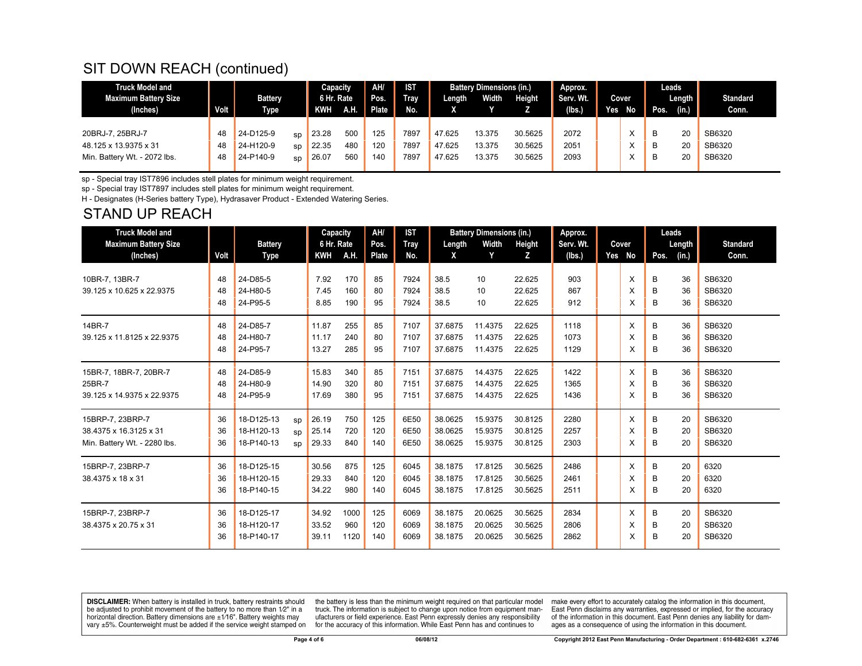## SIT DOWN REACH (continued)

| <b>Truck Model and</b><br>Maximum Battery Size<br>(Inches)                | Volt           | <b>Battery</b><br><b>Type</b>       |                | Capacity<br>6 Hr. Rate<br>KWH | <b>AH</b>         | AH/<br>Pos.<br>Plate | <b>IST</b><br><b>Tray</b><br>No. | Length                     | <b>Battery Dimensions (in.)</b><br>Width | Height                        | Approx.<br>Serv. Wt.<br>(lbs. | Yes | Cover<br>No | Pos.        | Leads<br>Length<br>(in.) | <b>Standard</b><br>Conn.   |
|---------------------------------------------------------------------------|----------------|-------------------------------------|----------------|-------------------------------|-------------------|----------------------|----------------------------------|----------------------------|------------------------------------------|-------------------------------|-------------------------------|-----|-------------|-------------|--------------------------|----------------------------|
| 20BRJ-7, 25BRJ-7<br>48.125 x 13.9375 x 31<br>Min. Battery Wt. - 2072 lbs. | 48<br>48<br>48 | 24-D125-9<br>24-H120-9<br>24-P140-9 | sp<br>SD<br>sp | 23.28<br>22.35<br>26.07       | 500<br>480<br>560 | 125<br>120<br>140    | 7897<br>7897<br>7897             | 47.625<br>47.625<br>47.625 | 13.375<br>13.375<br>13.375               | 30.5625<br>30.5625<br>30.5625 | 2072<br>2051<br>2093          |     |             | B<br>B<br>B | 20<br>20<br>20           | SB6320<br>SB6320<br>SB6320 |

sp - Special tray IST7896 includes stell plates for minimum weight requirement.

sp - Special tray IST7897 includes stell plates for minimum weight requirement.

H - Designates (H-Series battery Type), Hydrasaver Product - Extended Watering Series.

#### STAND UP REACH

| <b>Truck Model and</b>       |      |                          |    | Capacity   |      | AH/   | <b>IST</b> |                    | <b>Battery Dimensions (in.)</b> |         | Approx.      |        |        | Leads  |                  |
|------------------------------|------|--------------------------|----|------------|------|-------|------------|--------------------|---------------------------------|---------|--------------|--------|--------|--------|------------------|
| <b>Maximum Battery Size</b>  |      | <b>Battery</b>           |    | 6 Hr. Rate |      | Pos.  | Tray       | Length             | Width                           | Height  | Serv. Wt.    | Cover  |        | Length | <b>Standard</b>  |
| (Inches)                     | Volt | Type                     |    | <b>KWH</b> | A.H. | Plate | No.        | X                  | Y                               | z       | (lbs.)       | Yes No | Pos.   | (in.)  | Conn.            |
| 10BR-7, 13BR-7               | 48   | 24-D85-5                 |    | 7.92       | 170  | 85    | 7924       | 38.5               | 10                              | 22.625  | 903          | X      |        | 36     | SB6320           |
| 39.125 x 10.625 x 22.9375    | 48   | 24-H80-5                 |    | 7.45       | 160  | 80    | 7924       | 38.5               | 10                              | 22.625  | 867          | X      | B<br>B | 36     | SB6320           |
|                              | 48   | 24-P95-5                 |    | 8.85       | 190  | 95    | 7924       | 38.5               | 10                              | 22.625  | 912          | X      | B      | 36     | SB6320           |
|                              |      |                          |    |            |      |       |            |                    |                                 |         |              |        |        |        |                  |
| 14BR-7                       | 48   | 24-D85-7                 |    | 11.87      | 255  | 85    | 7107       | 37.6875            | 11.4375                         | 22.625  | 1118         | X      | B      | 36     | SB6320           |
| 39.125 x 11.8125 x 22.9375   | 48   | 24-H80-7                 |    | 11.17      | 240  | 80    | 7107       | 37.6875            | 11.4375                         | 22.625  | 1073         | X      | B      | 36     | SB6320           |
|                              | 48   | 24-P95-7                 |    | 13.27      | 285  | 95    | 7107       | 37.6875            | 11.4375                         | 22.625  | 1129         | X      | B      | 36     | SB6320           |
| 15BR-7, 18BR-7, 20BR-7       | 48   | 24-D85-9                 |    | 15.83      | 340  | 85    | 7151       | 37.6875            | 14.4375                         | 22.625  | 1422         | X      | B      | 36     | SB6320           |
| 25BR-7                       | 48   | 24-H80-9                 |    | 14.90      | 320  | 80    | 7151       | 37.6875            | 14.4375                         | 22.625  | 1365         | X      | B      | 36     | SB6320           |
| 39.125 x 14.9375 x 22.9375   | 48   | 24-P95-9                 |    | 17.69      | 380  | 95    | 7151       | 37.6875            | 14.4375                         | 22.625  | 1436         | X      | в      | 36     | SB6320           |
|                              |      |                          |    |            |      |       |            |                    |                                 |         |              |        |        |        |                  |
| 15BRP-7, 23BRP-7             | 36   | 18-D125-13<br>18-H120-13 | sp | 26.19      | 750  | 125   | 6E50       | 38.0625<br>38.0625 | 15.9375<br>15.9375              | 30.8125 | 2280<br>2257 | X      | B      | 20     | SB6320<br>SB6320 |
| 38.4375 x 16.3125 x 31       | 36   |                          | SD | 25.14      | 720  | 120   | 6E50       |                    |                                 | 30.8125 |              | X      | B      | 20     |                  |
| Min. Battery Wt. - 2280 lbs. | 36   | 18-P140-13               | SD | 29.33      | 840  | 140   | 6E50       | 38.0625            | 15.9375                         | 30.8125 | 2303         | X      | B      | 20     | SB6320           |
| 15BRP-7, 23BRP-7             | 36   | 18-D125-15               |    | 30.56      | 875  | 125   | 6045       | 38.1875            | 17.8125                         | 30.5625 | 2486         | X      | B      | 20     | 6320             |
| 38.4375 x 18 x 31            | 36   | 18-H120-15               |    | 29.33      | 840  | 120   | 6045       | 38.1875            | 17.8125                         | 30.5625 | 2461         | X      | B      | 20     | 6320             |
|                              | 36   | 18-P140-15               |    | 34.22      | 980  | 140   | 6045       | 38.1875            | 17.8125                         | 30.5625 | 2511         | X      | B      | 20     | 6320             |
| 15BRP-7, 23BRP-7             | 36   | 18-D125-17               |    | 34.92      | 1000 | 125   | 6069       | 38.1875            | 20.0625                         | 30.5625 | 2834         | X      | B      | 20     | SB6320           |
| 38.4375 x 20.75 x 31         | 36   | 18-H120-17               |    | 33.52      | 960  | 120   | 6069       | 38.1875            | 20.0625                         | 30.5625 | 2806         | X      | B      | 20     | SB6320           |
|                              | 36   | 18-P140-17               |    | 39.11      | 1120 | 140   | 6069       | 38.1875            | 20.0625                         | 30.5625 | 2862         | X      | B      | 20     | SB6320           |
|                              |      |                          |    |            |      |       |            |                    |                                 |         |              |        |        |        |                  |

**DISCLAIMER:** When battery is installed in truck, battery restraints should be adjusted to prohibit movement of the battery to no more than 1/2" in a be added in the behavior of the behavior of the behavior of the behavior of the behavior of the behavior of the behavior of the behavior of the service weight sharped on vary  $\pm$ 5%. Counterweight must be added if the ser

the battery is less than the minimum weight required on that particular model truck. The information is subject to change upon notice from equipment manufacturers or field experience. East Penn expressly denies any responsibility for the accuracy of this information. While East Penn has and continues to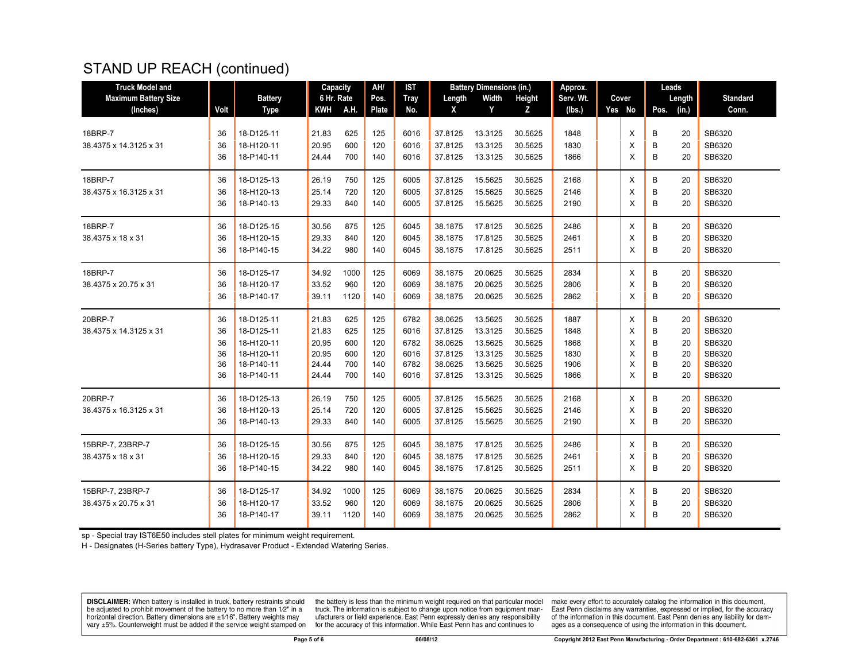## STAND UP REACH (continued)

| <b>Truck Model and</b>                  |      |                               | Capacity                 |      | AH/           | <b>IST</b>         |             | <b>Battery Dimensions (in.)</b> |                    | Approx.             |                 |      | Leads           |                          |
|-----------------------------------------|------|-------------------------------|--------------------------|------|---------------|--------------------|-------------|---------------------------------|--------------------|---------------------|-----------------|------|-----------------|--------------------------|
| <b>Maximum Battery Size</b><br>(Inches) | Volt | <b>Battery</b><br><b>Type</b> | 6 Hr. Rate<br><b>KWH</b> | A.H. | Pos.<br>Plate | <b>Tray</b><br>No. | Length<br>X | Width<br>Y                      | <b>Height</b><br>Z | Serv. Wt.<br>(lbs.) | Cover<br>Yes No | Pos. | Length<br>(in.) | <b>Standard</b><br>Conn. |
|                                         |      |                               |                          |      |               |                    |             |                                 |                    |                     |                 |      |                 |                          |
| 18BRP-7                                 | 36   | 18-D125-11                    | 21.83                    | 625  | 125           | 6016               | 37.8125     | 13.3125                         | 30.5625            | 1848                | X               | B    | 20              | SB6320                   |
| 38.4375 x 14.3125 x 31                  | 36   | 18-H120-11                    | 20.95                    | 600  | 120           | 6016               | 37.8125     | 13.3125                         | 30.5625            | 1830                | X               | B    | 20              | SB6320                   |
|                                         | 36   | 18-P140-11                    | 24.44                    | 700  | 140           | 6016               | 37.8125     | 13.3125                         | 30.5625            | 1866                | X               | B    | 20              | SB6320                   |
| 18BRP-7                                 | 36   | 18-D125-13                    | 26.19                    | 750  | 125           | 6005               | 37.8125     | 15.5625                         | 30.5625            | 2168                | X               | B    | 20              | SB6320                   |
| 38.4375 x 16.3125 x 31                  | 36   | 18-H120-13                    | 25.14                    | 720  | 120           | 6005               | 37.8125     | 15.5625                         | 30.5625            | 2146                | X               | B    | 20              | SB6320                   |
|                                         | 36   | 18-P140-13                    | 29.33                    | 840  | 140           | 6005               | 37.8125     | 15.5625                         | 30.5625            | 2190                | X               | в    | 20              | SB6320                   |
| 18BRP-7                                 | 36   | 18-D125-15                    | 30.56                    | 875  | 125           | 6045               | 38.1875     | 17.8125                         | 30.5625            | 2486                | X               | B    | 20              | SB6320                   |
| 38.4375 x 18 x 31                       | 36   | 18-H120-15                    | 29.33                    | 840  | 120           | 6045               | 38.1875     | 17.8125                         | 30.5625            | 2461                | X               | B    | 20              | SB6320                   |
|                                         | 36   | 18-P140-15                    | 34.22                    | 980  | 140           | 6045               | 38.1875     | 17.8125                         | 30.5625            | 2511                | X               | в    | 20              | SB6320                   |
| 18BRP-7                                 | 36   | 18-D125-17                    | 34.92                    | 1000 | 125           | 6069               | 38.1875     | 20.0625                         | 30.5625            | 2834                | X               | B    | 20              | SB6320                   |
| 38.4375 x 20.75 x 31                    | 36   | 18-H120-17                    | 33.52                    | 960  | 120           | 6069               | 38.1875     | 20.0625                         | 30.5625            | 2806                | X               | B    | 20              | SB6320                   |
|                                         | 36   | 18-P140-17                    | 39.11                    | 1120 | 140           | 6069               | 38.1875     | 20.0625                         | 30.5625            | 2862                | X               | в    | 20              | SB6320                   |
| 20BRP-7                                 | 36   | 18-D125-11                    | 21.83                    | 625  | 125           | 6782               | 38.0625     | 13.5625                         | 30.5625            | 1887                | X               | В    | 20              | SB6320                   |
| 38.4375 x 14.3125 x 31                  | 36   | 18-D125-11                    | 21.83                    | 625  | 125           | 6016               | 37.8125     | 13.3125                         | 30.5625            | 1848                | X               | B    | 20              | SB6320                   |
|                                         | 36   | 18-H120-11                    | 20.95                    | 600  | 120           | 6782               | 38.0625     | 13.5625                         | 30.5625            | 1868                | X               | B    | 20              | SB6320                   |
|                                         | 36   | 18-H120-11                    | 20.95                    | 600  | 120           | 6016               | 37.8125     | 13.3125                         | 30.5625            | 1830                | X               | B    | 20              | SB6320                   |
|                                         | 36   | 18-P140-11                    | 24.44                    | 700  | 140           | 6782               | 38.0625     | 13.5625                         | 30.5625            | 1906                | X               | B    | 20              | SB6320                   |
|                                         | 36   | 18-P140-11                    | 24.44                    | 700  | 140           | 6016               | 37.8125     | 13.3125                         | 30.5625            | 1866                | X               | B    | 20              | SB6320                   |
| 20BRP-7                                 | 36   | 18-D125-13                    | 26.19                    | 750  | 125           | 6005               | 37.8125     | 15.5625                         | 30.5625            | 2168                | X               | B    | 20              | SB6320                   |
| 38.4375 x 16.3125 x 31                  | 36   | 18-H120-13                    | 25.14                    | 720  | 120           | 6005               | 37.8125     | 15.5625                         | 30.5625            | 2146                | X               | B    | 20              | SB6320                   |
|                                         | 36   | 18-P140-13                    | 29.33                    | 840  | 140           | 6005               | 37.8125     | 15.5625                         | 30.5625            | 2190                | X               | B    | 20              | SB6320                   |
| 15BRP-7, 23BRP-7                        | 36   | 18-D125-15                    | 30.56                    | 875  | 125           | 6045               | 38.1875     | 17.8125                         | 30.5625            | 2486                | X               | B    | 20              | SB6320                   |
| 38.4375 x 18 x 31                       | 36   | 18-H120-15                    | 29.33                    | 840  | 120           | 6045               | 38.1875     | 17.8125                         | 30.5625            | 2461                | X               | B    | 20              | SB6320                   |
|                                         | 36   | 18-P140-15                    | 34.22                    | 980  | 140           | 6045               | 38.1875     | 17.8125                         | 30.5625            | 2511                | X               | B    | 20              | SB6320                   |
| 15BRP-7, 23BRP-7                        | 36   | 18-D125-17                    | 34.92                    | 1000 | 125           | 6069               | 38.1875     | 20.0625                         | 30.5625            | 2834                | X               | В    | 20              | SB6320                   |
| 38.4375 x 20.75 x 31                    | 36   | 18-H120-17                    | 33.52                    | 960  | 120           | 6069               | 38.1875     | 20.0625                         | 30.5625            | 2806                | X               | B    | 20              | SB6320                   |
|                                         | 36   | 18-P140-17                    | 39.11                    | 1120 | 140           | 6069               | 38.1875     | 20.0625                         | 30.5625            | 2862                | X               | B    | 20              | SB6320                   |

sp - Special tray IST6E50 includes stell plates for minimum weight requirement.

H - Designates (H-Series battery Type), Hydrasaver Product - Extended Watering Series.

**DISCLAIMER:** When battery is installed in truck, battery restraints should be adjusted to prohibit movement of the battery to no more than 1/2" in a be added if the series of the series of the series of the matter of the matter of the beam of the series of the series of the series of the series of the series of the series of the series of the series of the series of t

the battery is less than the minimum weight required on that particular model<br>truck. The information is subject to change upon notice from equipment manufacturers or field experience. East Penn expressly denies any responsibility for the accuracy of this information. While East Penn has and continues to